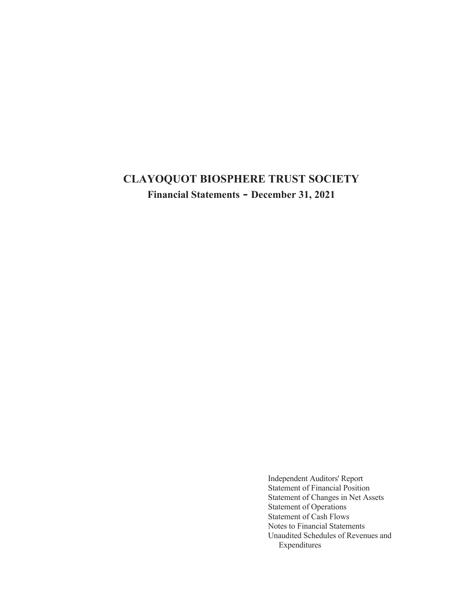# **CLAYOQUOT BIOSPHERE TRUST SOCIETY Financial Statements - December 31, 2021**

Independent Auditors' Report Statement of Financial Position Statement of Changes in Net Assets Statement of Operations Statement of Cash Flows Notes to Financial Statements Unaudited Schedules of Revenues and Expenditures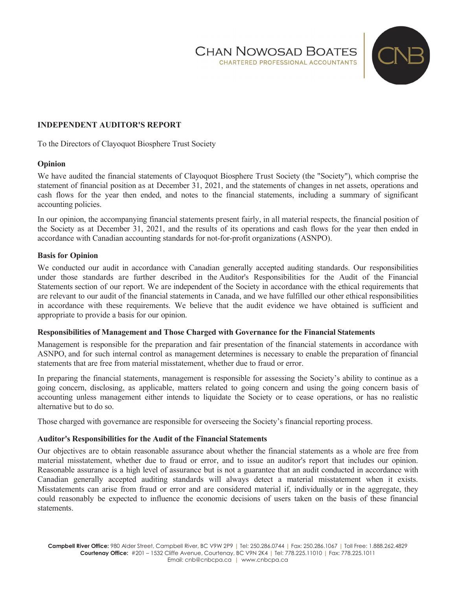

#### **INDEPENDENT AUDITOR'S REPORT**

To the Directors of Clayoquot Biosphere Trust Society

#### **Opinion**

We have audited the financial statements of Clayoquot Biosphere Trust Society (the "Society"), which comprise the statement of financial position as at December 31, 2021, and the statements of changes in net assets, operations and cash flows for the year then ended, and notes to the financial statements, including a summary of significant accounting policies.

In our opinion, the accompanying financial statements present fairly, in all material respects, the financial position of the Society as at December 31, 2021, and the results of its operations and cash flows for the year then ended in accordance with Canadian accounting standards for not-for-profit organizations (ASNPO).

#### **Basis for Opinion**

We conducted our audit in accordance with Canadian generally accepted auditing standards. Our responsibilities under those standards are further described in the Auditor's Responsibilities for the Audit of the Financial Statements section of our report. We are independent of the Society in accordance with the ethical requirements that are relevant to our audit of the financial statements in Canada, and we have fulfilled our other ethical responsibilities in accordance with these requirements. We believe that the audit evidence we have obtained is sufficient and appropriate to provide a basis for our opinion.

#### **Responsibilities of Management and Those Charged with Governance for the Financial Statements**

Management is responsible for the preparation and fair presentation of the financial statements in accordance with ASNPO, and for such internal control as management determines is necessary to enable the preparation of financial statements that are free from material misstatement, whether due to fraud or error.

In preparing the financial statements, management is responsible for assessing the Society's ability to continue as a going concern, disclosing, as applicable, matters related to going concern and using the going concern basis of accounting unless management either intends to liquidate the Society or to cease operations, or has no realistic alternative but to do so.

Those charged with governance are responsible for overseeing the Society's financial reporting process.

#### **Auditor's Responsibilities for the Audit of the Financial Statements**

Our objectives are to obtain reasonable assurance about whether the financial statements as a whole are free from material misstatement, whether due to fraud or error, and to issue an auditor's report that includes our opinion. Reasonable assurance is a high level of assurance but is not a guarantee that an audit conducted in accordance with Canadian generally accepted auditing standards will always detect a material misstatement when it exists. Misstatements can arise from fraud or error and are considered material if, individually or in the aggregate, they could reasonably be expected to influence the economic decisions of users taken on the basis of these financial statements.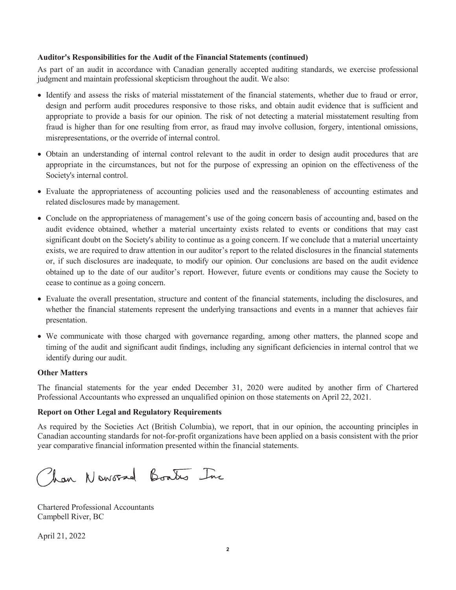#### **Auditor's Responsibilities for the Audit of the Financial Statements (continued)**

As part of an audit in accordance with Canadian generally accepted auditing standards, we exercise professional judgment and maintain professional skepticism throughout the audit. We also:

- Identify and assess the risks of material misstatement of the financial statements, whether due to fraud or error, design and perform audit procedures responsive to those risks, and obtain audit evidence that is sufficient and appropriate to provide a basis for our opinion. The risk of not detecting a material misstatement resulting from fraud is higher than for one resulting from error, as fraud may involve collusion, forgery, intentional omissions, misrepresentations, or the override of internal control.
- Obtain an understanding of internal control relevant to the audit in order to design audit procedures that are appropriate in the circumstances, but not for the purpose of expressing an opinion on the effectiveness of the Society's internal control.
- Evaluate the appropriateness of accounting policies used and the reasonableness of accounting estimates and related disclosures made by management.
- Conclude on the appropriateness of management's use of the going concern basis of accounting and, based on the audit evidence obtained, whether a material uncertainty exists related to events or conditions that may cast significant doubt on the Society's ability to continue as a going concern. If we conclude that a material uncertainty exists, we are required to draw attention in our auditor's report to the related disclosures in the financial statements or, if such disclosures are inadequate, to modify our opinion. Our conclusions are based on the audit evidence obtained up to the date of our auditor's report. However, future events or conditions may cause the Society to cease to continue as a going concern.
- Evaluate the overall presentation, structure and content of the financial statements, including the disclosures, and whether the financial statements represent the underlying transactions and events in a manner that achieves fair presentation.
- We communicate with those charged with governance regarding, among other matters, the planned scope and timing of the audit and significant audit findings, including any significant deficiencies in internal control that we identify during our audit.

#### **Other Matters**

The financial statements for the year ended December 31, 2020 were audited by another firm of Chartered Professional Accountants who expressed an unqualified opinion on those statements on April 22, 2021.

### **Report on Other Legal and Regulatory Requirements**

As required by the Societies Act (British Columbia), we report, that in our opinion, the accounting principles in Canadian accounting standards for not-for-profit organizations have been applied on a basis consistent with the prior year comparative financial information presented within the financial statements.

han Noworad Boats Inc

Chartered Professional Accountants Campbell River, BC

April 21, 2022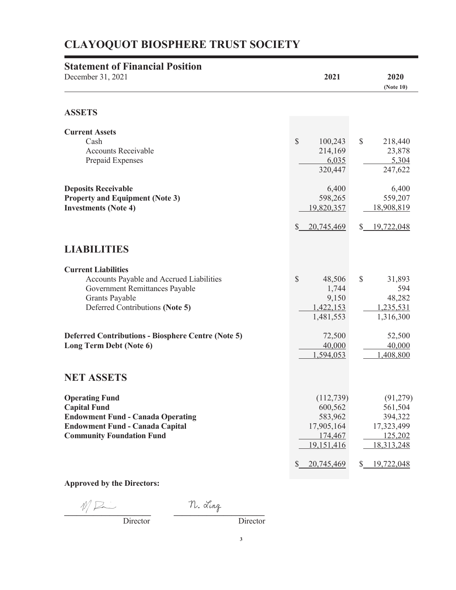| <b>Statement of Financial Position</b>                    |                          |                            |
|-----------------------------------------------------------|--------------------------|----------------------------|
| December 31, 2021                                         | 2021                     | 2020<br>(Note 10)          |
| <b>ASSETS</b>                                             |                          |                            |
| <b>Current Assets</b>                                     |                          |                            |
| Cash                                                      | $\mathcal{S}$<br>100,243 | \$<br>218,440              |
| <b>Accounts Receivable</b>                                | 214,169                  | 23,878                     |
| Prepaid Expenses                                          | 6,035                    | 5,304                      |
|                                                           | 320,447                  | 247,622                    |
| <b>Deposits Receivable</b>                                | 6,400                    | 6,400                      |
| <b>Property and Equipment (Note 3)</b>                    | 598,265                  | 559,207                    |
| <b>Investments (Note 4)</b>                               | 19,820,357               | 18,908,819                 |
|                                                           | 20,745,469<br>S.         | 19,722,048<br>\$           |
| <b>LIABILITIES</b>                                        |                          |                            |
| <b>Current Liabilities</b>                                |                          |                            |
| Accounts Payable and Accrued Liabilities                  | $\mathcal{S}$<br>48,506  | $\mathbb{S}$<br>31,893     |
| Government Remittances Payable                            | 1,744                    | 594                        |
| <b>Grants Payable</b>                                     | 9,150                    | 48,282                     |
| Deferred Contributions (Note 5)                           | 1,422,153                | 1,235,531                  |
|                                                           | 1,481,553                | 1,316,300                  |
| <b>Deferred Contributions - Biosphere Centre (Note 5)</b> | 72,500                   | 52,500                     |
| Long Term Debt (Note 6)                                   | 40,000                   | 40,000                     |
|                                                           | 1,594,053                | 1,408,800                  |
| <b>NET ASSETS</b>                                         |                          |                            |
| <b>Operating Fund</b>                                     | (112, 739)               | (91,279)                   |
| <b>Capital Fund</b>                                       | 600,562                  | 561,504                    |
| <b>Endowment Fund - Canada Operating</b>                  | 583,962                  | 394,322                    |
| <b>Endowment Fund - Canada Capital</b>                    | 17,905,164               | 17,323,499                 |
| <b>Community Foundation Fund</b>                          | 174,467                  | 125,202                    |
|                                                           | 19,151,416               | 18,313,248                 |
|                                                           | 20,745,469               | 19,722,048<br>$\mathbb{S}$ |

**Approved by the Directors:**

 $\frac{1}{\sqrt{2}}$ 

Director Director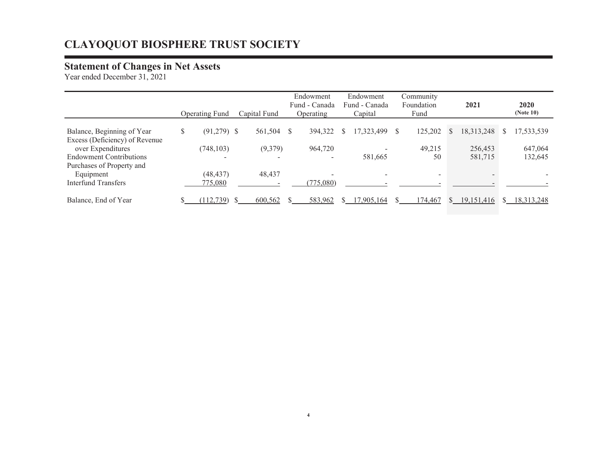## **Statement of Changes in Net Assets**

Year ended December 31, 2021

|                                                                                  |   | Operating Fund       | Capital Fund |    | Endowment<br>Fund - Canada<br>Operating | Endowment<br>Fund - Canada<br>Capital | Community<br>Foundation<br>Fund |    | 2021               |   | 2020<br>(Note 10)  |
|----------------------------------------------------------------------------------|---|----------------------|--------------|----|-----------------------------------------|---------------------------------------|---------------------------------|----|--------------------|---|--------------------|
| Balance, Beginning of Year<br>Excess (Deficiency) of Revenue                     | D | $(91,279)$ \$        | 561,504      | -S | 394,322                                 | 17,323,499                            | 125,202                         | S. | 18,313,248         | S | 17,533,539         |
| over Expenditures<br><b>Endowment Contributions</b><br>Purchases of Property and |   | (748, 103)           | (9,379)      |    | 964,720                                 | 581,665                               | 49,215<br>50                    |    | 256,453<br>581,715 |   | 647,064<br>132,645 |
| Equipment<br>Interfund Transfers                                                 |   | (48, 437)<br>775,080 | 48,437       |    | $\overline{\phantom{0}}$<br>(775,080)   | $\overline{\phantom{a}}$              | $\overline{\phantom{a}}$        |    |                    |   |                    |
| Balance, End of Year                                                             |   | (112, 739)           | 600,562      |    | 583,962                                 | 7.905.164                             | 174,467                         |    | 19,151,416         |   | 18,313,248         |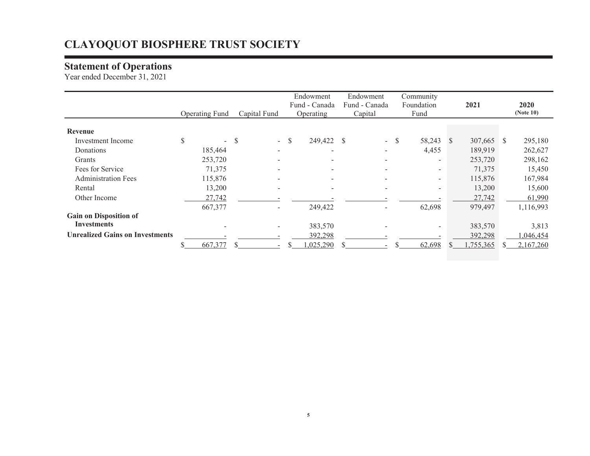## **Statement of Operations**

Year ended December 31, 2021

|                                        | <b>Operating Fund</b>    | Capital Fund             |        | Endowment<br>Fund - Canada<br>Operating | Endowment<br>Fund - Canada<br>Capital |               | Community<br>Foundation<br>Fund |              | 2021      |              | 2020<br>(Note 10) |
|----------------------------------------|--------------------------|--------------------------|--------|-----------------------------------------|---------------------------------------|---------------|---------------------------------|--------------|-----------|--------------|-------------------|
|                                        |                          |                          |        |                                         |                                       |               |                                 |              |           |              |                   |
| Revenue                                |                          |                          |        |                                         |                                       |               |                                 |              |           |              |                   |
| Investment Income                      | \$<br>$\sim$             | $\mathcal{S}$            | $-$ \$ | 249,422 \$                              | $\sim$                                | $\mathcal{S}$ | 58,243                          | <sup>S</sup> | 307,665   | <sup>S</sup> | 295,180           |
| <b>Donations</b>                       | 185,464                  | $\overline{\phantom{a}}$ |        | $\overline{\phantom{0}}$                | $\overline{\phantom{a}}$              |               | 4,455                           |              | 189,919   |              | 262,627           |
| Grants                                 | 253,720                  | $\overline{\phantom{a}}$ |        | $\overline{\phantom{a}}$                | $\overline{\phantom{0}}$              |               | $\overline{\phantom{a}}$        |              | 253,720   |              | 298,162           |
| Fees for Service                       | 71,375                   | $\overline{\phantom{0}}$ |        | $\overline{\phantom{0}}$                | $\overline{\phantom{0}}$              |               | $\overline{\phantom{a}}$        |              | 71,375    |              | 15,450            |
| <b>Administration Fees</b>             | 115,876                  | $\overline{\phantom{a}}$ |        | $\overline{\phantom{0}}$                | $\overline{\phantom{a}}$              |               | $\overline{\phantom{a}}$        |              | 115,876   |              | 167,984           |
| Rental                                 | 13,200                   | $\overline{\phantom{a}}$ |        | $\overline{\phantom{a}}$                | $\overline{\phantom{a}}$              |               | $\sim$                          |              | 13,200    |              | 15,600            |
| Other Income                           | 27,742                   |                          |        |                                         |                                       |               |                                 |              | 27,742    |              | 61,990            |
|                                        | 667,377                  | $\overline{\phantom{a}}$ |        | 249,422                                 | $\overline{\phantom{0}}$              |               | 62,698                          |              | 979,497   |              | 1,116,993         |
| <b>Gain on Disposition of</b>          |                          |                          |        |                                         |                                       |               |                                 |              |           |              |                   |
| <b>Investments</b>                     | $\overline{\phantom{a}}$ | $\overline{\phantom{a}}$ |        | 383,570                                 | $\overline{\phantom{0}}$              |               | $\overline{\phantom{a}}$        |              | 383,570   |              | 3,813             |
| <b>Unrealized Gains on Investments</b> |                          |                          |        | 392,298                                 |                                       |               |                                 |              | 392,298   |              | 1,046,454         |
|                                        | 667,377                  | S                        |        | 1,025,290                               |                                       |               | 62,698                          |              | 1,755,365 |              | 2,167,260         |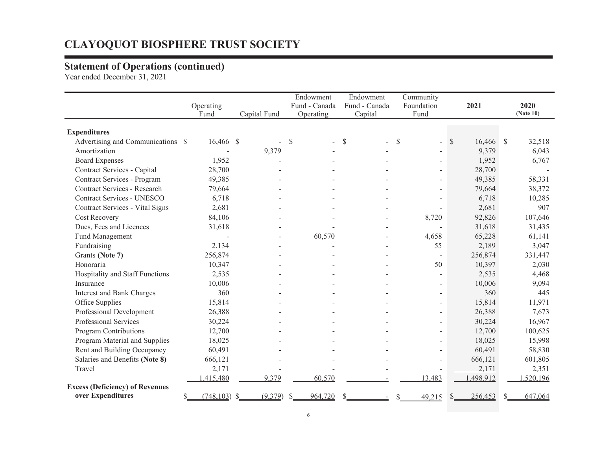## **Statement of Operations (continued)**

Year ended December 31, 2021

|                                        | Operating<br>Fund     | Capital Fund | Endowment<br>Fund - Canada<br>Operating | Endowment<br>Community<br>Fund - Canada<br>Foundation<br>Capital<br>Fund |                          | 2021                   | 2020<br>(Note 10)       |
|----------------------------------------|-----------------------|--------------|-----------------------------------------|--------------------------------------------------------------------------|--------------------------|------------------------|-------------------------|
| <b>Expenditures</b>                    |                       |              |                                         |                                                                          |                          |                        |                         |
| Advertising and Communications \$      | 16,466 \$             |              | \$                                      | \$<br>$\overline{\phantom{0}}$                                           | <sup>\$</sup>            | 16,466<br><sup>S</sup> | $\mathcal{S}$<br>32,518 |
| Amortization                           |                       | 9,379        |                                         |                                                                          |                          | 9,379                  | 6,043                   |
| <b>Board Expenses</b>                  | 1,952                 |              |                                         |                                                                          |                          | 1,952                  | 6,767                   |
| Contract Services - Capital            | 28,700                |              |                                         |                                                                          |                          | 28,700                 |                         |
| Contract Services - Program            | 49,385                |              |                                         |                                                                          |                          | 49,385                 | 58,331                  |
| Contract Services - Research           | 79,664                |              |                                         |                                                                          |                          | 79,664                 | 38,372                  |
| <b>Contract Services - UNESCO</b>      | 6,718                 |              |                                         |                                                                          |                          | 6,718                  | 10,285                  |
| Contract Services - Vital Signs        | 2,681                 |              |                                         |                                                                          |                          | 2,681                  | 907                     |
| <b>Cost Recovery</b>                   | 84,106                |              |                                         |                                                                          | 8,720                    | 92,826                 | 107,646                 |
| Dues, Fees and Licences                | 31,618                |              |                                         |                                                                          |                          | 31,618                 | 31,435                  |
| Fund Management                        |                       |              | 60,570                                  |                                                                          | 4,658                    | 65,228                 | 61,141                  |
| Fundraising                            | 2,134                 |              |                                         |                                                                          | 55                       | 2,189                  | 3,047                   |
| Grants (Note 7)                        | 256,874               |              |                                         |                                                                          | $\overline{\phantom{a}}$ | 256,874                | 331,447                 |
| Honoraria                              | 10,347                |              |                                         |                                                                          | 50                       | 10,397                 | 2,030                   |
| Hospitality and Staff Functions        | 2,535                 |              |                                         |                                                                          |                          | 2,535                  | 4,468                   |
| Insurance                              | 10,006                |              |                                         |                                                                          |                          | 10,006                 | 9,094                   |
| Interest and Bank Charges              | 360                   |              |                                         |                                                                          |                          | 360                    | 445                     |
| Office Supplies                        | 15,814                |              |                                         |                                                                          |                          | 15,814                 | 11,971                  |
| Professional Development               | 26,388                |              |                                         |                                                                          |                          | 26,388                 | 7,673                   |
| Professional Services                  | 30,224                |              |                                         |                                                                          |                          | 30,224                 | 16,967                  |
| Program Contributions                  | 12,700                |              |                                         |                                                                          |                          | 12,700                 | 100,625                 |
| Program Material and Supplies          | 18,025                |              |                                         |                                                                          |                          | 18,025                 | 15,998                  |
| Rent and Building Occupancy            | 60,491                |              |                                         |                                                                          |                          | 60,491                 | 58,830                  |
| Salaries and Benefits (Note 8)         | 666,121               |              |                                         |                                                                          |                          | 666,121                | 601,805                 |
| Travel                                 | 2,171                 |              |                                         |                                                                          |                          | 2,171                  | 2,351                   |
|                                        | ,415,480              | 9,379        | 60,570                                  |                                                                          | 13,483                   | 1,498,912              | 1,520,196               |
| <b>Excess (Deficiency) of Revenues</b> |                       |              |                                         |                                                                          |                          |                        |                         |
| over Expenditures                      | $(748, 103)$ \$<br>\$ | (9,379)      | 964,720<br><sup>S</sup>                 | S.                                                                       | 49,215<br>\$             | 256,453<br>S           | 647,064<br>-S           |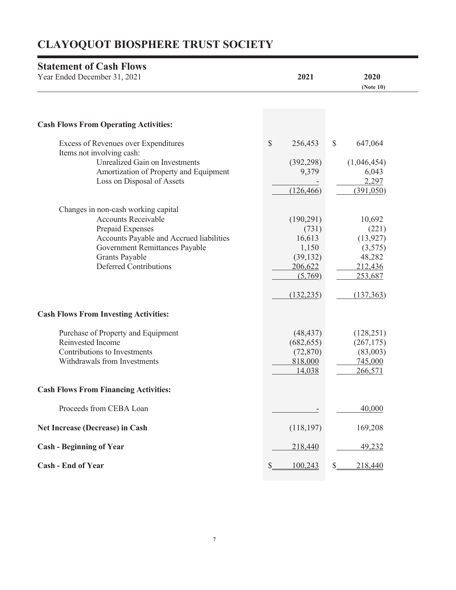## **Statement of Cash Flows**

| rtement of Cash Flor<br>Year Ended December 31, 2021                                                                                                                                                                   | 2021                                                                                   | 2020<br>(Note 10)                                                                     |
|------------------------------------------------------------------------------------------------------------------------------------------------------------------------------------------------------------------------|----------------------------------------------------------------------------------------|---------------------------------------------------------------------------------------|
| <b>Cash Flows From Operating Activities:</b>                                                                                                                                                                           |                                                                                        |                                                                                       |
| Excess of Revenues over Expenditures<br>Items not involving cash:<br>Unrealized Gain on Investments<br>Amortization of Property and Equipment<br>Loss on Disposal of Assets                                            | $\mathcal{S}$<br>256,453<br>(392, 298)<br>9,379<br>(126, 466)                          | $\mathcal{S}$<br>647,064<br>(1,046,454)<br>6,043<br>2,297<br>(391,050)                |
| Changes in non-cash working capital<br><b>Accounts Receivable</b><br>Prepaid Expenses<br>Accounts Payable and Accrued liabilities<br>Government Remittances Payable<br>Grants Payable<br><b>Deferred Contributions</b> | (190,291)<br>(731)<br>16,613<br>1,150<br>(39, 132)<br>206,622<br>(5,769)<br>(132, 235) | 10,692<br>(221)<br>(13, 927)<br>(3,575)<br>48,282<br>212,436<br>253,687<br>(137, 363) |
| <b>Cash Flows From Investing Activities:</b>                                                                                                                                                                           |                                                                                        |                                                                                       |
| Purchase of Property and Equipment<br>Reinvested Income<br>Contributions to Investments<br>Withdrawals from Investments                                                                                                | (48, 437)<br>(682, 655)<br>(72, 870)<br>818,000<br>14,038                              | (128, 251)<br>(267, 175)<br>(83,003)<br>745,000<br>266,571                            |
| <b>Cash Flows From Financing Activities:</b>                                                                                                                                                                           |                                                                                        |                                                                                       |
| Proceeds from CEBA Loan                                                                                                                                                                                                |                                                                                        | 40,000                                                                                |
| <b>Net Increase (Decrease) in Cash</b>                                                                                                                                                                                 | (118, 197)                                                                             | 169,208                                                                               |
| <b>Cash - Beginning of Year</b>                                                                                                                                                                                        | 218,440                                                                                | 49,232                                                                                |
| <b>Cash - End of Year</b>                                                                                                                                                                                              | 100,243<br>$S_{-}$                                                                     | 218,440<br>\$                                                                         |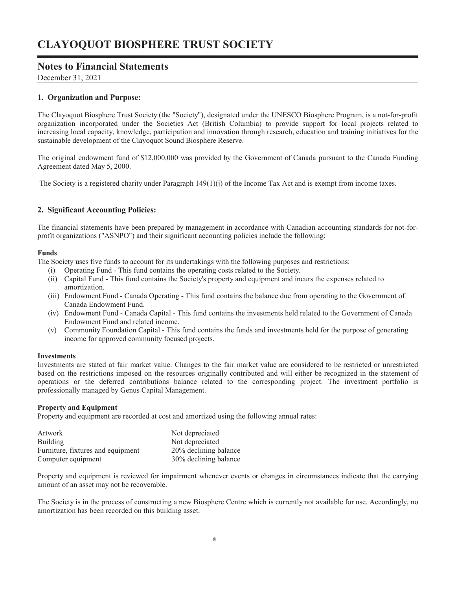### **Notes to Financial Statements**

December 31, 2021

#### **1. Organization and Purpose:**

The Clayoquot Biosphere Trust Society (the "Society"), designated under the UNESCO Biosphere Program, is a not-for-profit organization incorporated under the Societies Act (British Columbia) to provide support for local projects related to increasing local capacity, knowledge, participation and innovation through research, education and training initiatives for the sustainable development of the Clayoquot Sound Biosphere Reserve.

The original endowment fund of \$12,000,000 was provided by the Government of Canada pursuant to the Canada Funding Agreement dated May 5, 2000.

The Society is a registered charity under Paragraph 149(1)(j) of the Income Tax Act and is exempt from income taxes.

#### **2. Significant Accounting Policies:**

The financial statements have been prepared by management in accordance with Canadian accounting standards for not-forprofit organizations ("ASNPO") and their significant accounting policies include the following:

#### **Funds**

The Society uses five funds to account for its undertakings with the following purposes and restrictions:

- (i) Operating Fund This fund contains the operating costs related to the Society.
- (ii) Capital Fund This fund contains the Society's property and equipment and incurs the expenses related to amortization.
- (iii) Endowment Fund Canada Operating This fund contains the balance due from operating to the Government of Canada Endowment Fund.
- (iv) Endowment Fund Canada Capital This fund contains the investments held related to the Government of Canada Endowment Fund and related income.
- (v) Community Foundation Capital This fund contains the funds and investments held for the purpose of generating income for approved community focused projects.

#### **Investments**

Investments are stated at fair market value. Changes to the fair market value are considered to be restricted or unrestricted based on the restrictions imposed on the resources originally contributed and will either be recognized in the statement of operations or the deferred contributions balance related to the corresponding project. The investment portfolio is professionally managed by Genus Capital Management.

#### **Property and Equipment**

Property and equipment are recorded at cost and amortized using the following annual rates:

| Artwork                           | Not depreciated       |
|-----------------------------------|-----------------------|
| <b>Building</b>                   | Not depreciated       |
| Furniture, fixtures and equipment | 20% declining balance |
| Computer equipment                | 30% declining balance |

Property and equipment is reviewed for impairment whenever events or changes in circumstances indicate that the carrying amount of an asset may not be recoverable.

The Society is in the process of constructing a new Biosphere Centre which is currently not available for use. Accordingly, no amortization has been recorded on this building asset.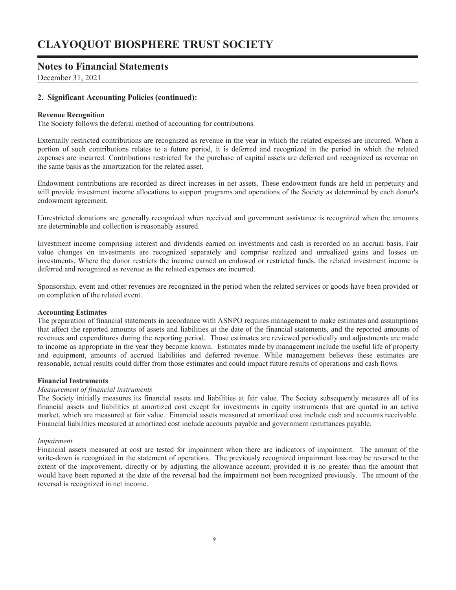### **Notes to Financial Statements**

December 31, 2021

#### **2. Significant Accounting Policies (continued):**

#### **Revenue Recognition**

The Society follows the deferral method of accounting for contributions.

Externally restricted contributions are recognized as revenue in the year in which the related expenses are incurred. When a portion of such contributions relates to a future period, it is deferred and recognized in the period in which the related expenses are incurred. Contributions restricted for the purchase of capital assets are deferred and recognized as revenue on the same basis as the amortization for the related asset.

Endowment contributions are recorded as direct increases in net assets. These endowment funds are held in perpetuity and will provide investment income allocations to support programs and operations of the Society as determined by each donor's endowment agreement.

Unrestricted donations are generally recognized when received and government assistance is recognized when the amounts are determinable and collection is reasonably assured.

Investment income comprising interest and dividends earned on investments and cash is recorded on an accrual basis. Fair value changes on investments are recognized separately and comprise realized and unrealized gains and losses on investments. Where the donor restricts the income earned on endowed or restricted funds, the related investment income is deferred and recognized as revenue as the related expenses are incurred.

Sponsorship, event and other revenues are recognized in the period when the related services or goods have been provided or on completion of the related event.

#### **Accounting Estimates**

The preparation of financial statements in accordance with ASNPO requires management to make estimates and assumptions that affect the reported amounts of assets and liabilities at the date of the financial statements, and the reported amounts of revenues and expenditures during the reporting period. Those estimates are reviewed periodically and adjustments are made to income as appropriate in the year they become known. Estimates made by management include the useful life of property and equipment, amounts of accrued liabilities and deferred revenue. While management believes these estimates are reasonable, actual results could differ from those estimates and could impact future results of operations and cash flows.

#### **Financial Instruments**

#### *Measurement of financial instruments*

The Society initially measures its financial assets and liabilities at fair value. The Society subsequently measures all of its financial assets and liabilities at amortized cost except for investments in equity instruments that are quoted in an active market, which are measured at fair value. Financial assets measured at amortized cost include cash and accounts receivable. Financial liabilities measured at amortized cost include accounts payable and government remittances payable.

#### *Impairment*

Financial assets measured at cost are tested for impairment when there are indicators of impairment. The amount of the write-down is recognized in the statement of operations. The previously recognized impairment loss may be reversed to the extent of the improvement, directly or by adjusting the allowance account, provided it is no greater than the amount that would have been reported at the date of the reversal had the impairment not been recognized previously. The amount of the reversal is recognized in net income.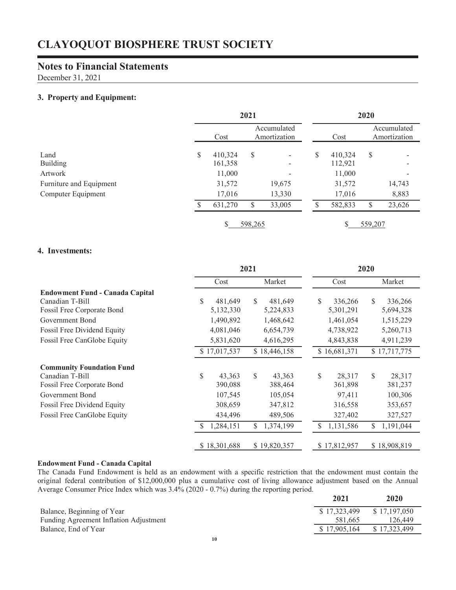### **Notes to Financial Statements**

December 31, 2021

#### **3. Property and Equipment:**

|                         |                          | 2021                        |                                                      |   |                    | 2020 |                             |
|-------------------------|--------------------------|-----------------------------|------------------------------------------------------|---|--------------------|------|-----------------------------|
|                         | Cost                     | Accumulated<br>Amortization |                                                      |   | Cost               |      | Accumulated<br>Amortization |
| Land<br>Building        | \$<br>410,324<br>161,358 | \$                          | $\overline{\phantom{a}}$<br>$\overline{\phantom{a}}$ | S | 410,324<br>112,921 | \$   |                             |
| Artwork                 | 11,000                   |                             |                                                      |   | 11,000             |      |                             |
| Furniture and Equipment | 31,572                   |                             | 19,675                                               |   | 31,572             |      | 14,743                      |
| Computer Equipment      | 17,016                   |                             | 13,330                                               |   | 17,016             |      | 8,883                       |
|                         | 631,270                  | \$                          | 33,005                                               | S | 582,833            | S    | 23,626                      |
|                         |                          |                             |                                                      |   |                    |      |                             |

\$ 598,265 \$ 559,207

#### **4. Investments:**

|                                        |               | 2021            |                | 2020                   |
|----------------------------------------|---------------|-----------------|----------------|------------------------|
|                                        | Cost          | Market          | Cost           | Market                 |
| <b>Endowment Fund - Canada Capital</b> |               |                 |                |                        |
| Canadian T-Bill                        | \$<br>481,649 | \$<br>481,649   | S<br>336,266   | \$.<br>336,266         |
| Fossil Free Corporate Bond             | 5,132,330     | 5,224,833       | 5,301,291      | 5,694,328              |
| Government Bond                        | 1,490,892     | 1,468,642       | 1,461,054      | 1,515,229              |
| Fossil Free Dividend Equity            | 4,081,046     | 6,654,739       | 4,738,922      | 5,260,713              |
| Fossil Free CanGlobe Equity            | 5,831,620     | 4,616,295       | 4,843,838      | 4,911,239              |
|                                        | \$17,017,537  | \$18,446,158    | \$16,681,371   | \$17,717,775           |
| <b>Community Foundation Fund</b>       |               |                 |                |                        |
| Canadian T-Bill                        | \$<br>43,363  | \$<br>43,363    | \$<br>28,317   | $\mathbb{S}$<br>28,317 |
| Fossil Free Corporate Bond             | 390,088       | 388,464         | 361,898        | 381,237                |
| Government Bond                        | 107,545       | 105,054         | 97,411         | 100,306                |
| Fossil Free Dividend Equity            | 308,659       | 347,812         | 316,558        | 353,657                |
| Fossil Free CanGlobe Equity            | 434,496       | 489,506         | 327,402        | 327,527                |
|                                        | 1,284,151     | \$<br>1,374,199 | S<br>1,131,586 | S<br>1,191,044         |
|                                        | \$18,301,688  | \$19,820,357    | \$17,812,957   | \$18,908,819           |

#### **Endowment Fund - Canada Capital**

The Canada Fund Endowment is held as an endowment with a specific restriction that the endowment must contain the original federal contribution of \$12,000,000 plus a cumulative cost of living allowance adjustment based on the Annual Average Consumer Price Index which was 3.4% (2020 - 0.7%) during the reporting period.

|                                               |  |  | 2021         | 2020         |  |
|-----------------------------------------------|--|--|--------------|--------------|--|
| Balance, Beginning of Year                    |  |  | \$17,323,499 | \$17,197,050 |  |
| <b>Funding Agreement Inflation Adjustment</b> |  |  | 581.665      | 126,449      |  |
| Balance. End of Year                          |  |  | \$17,905,164 | \$17,323,499 |  |
|                                               |  |  |              |              |  |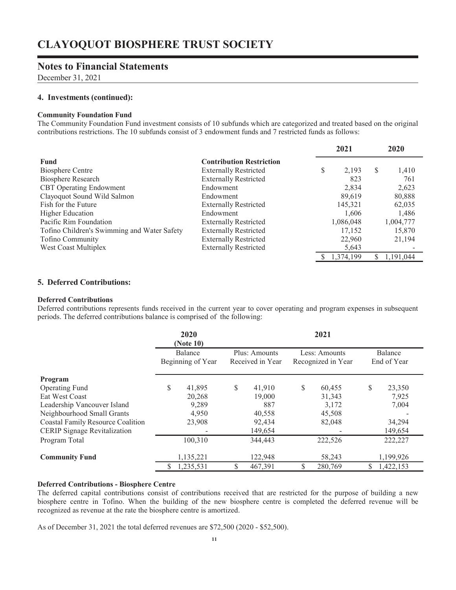## **Notes to Financial Statements**

December 31, 2021

#### **4. Investments (continued):**

#### **Community Foundation Fund**

The Community Foundation Fund investment consists of 10 subfunds which are categorized and treated based on the original contributions restrictions. The 10 subfunds consist of 3 endowment funds and 7 restricted funds as follows:

|                                             |                                 | 2021        |   | 2020      |
|---------------------------------------------|---------------------------------|-------------|---|-----------|
| <b>Fund</b>                                 | <b>Contribution Restriction</b> |             |   |           |
| <b>Biosphere Centre</b>                     | <b>Externally Restricted</b>    | \$<br>2,193 | S | 1,410     |
| <b>Biosphere Research</b>                   | <b>Externally Restricted</b>    | 823         |   | 761       |
| <b>CBT</b> Operating Endowment              | Endowment                       | 2,834       |   | 2,623     |
| Clayoquot Sound Wild Salmon                 | Endowment                       | 89.619      |   | 80,888    |
| Fish for the Future                         | <b>Externally Restricted</b>    | 145,321     |   | 62,035    |
| <b>Higher Education</b>                     | Endowment                       | 1,606       |   | 1,486     |
| Pacific Rim Foundation                      | <b>Externally Restricted</b>    | 1,086,048   |   | 1,004,777 |
| Tofino Children's Swimming and Water Safety | <b>Externally Restricted</b>    | 17,152      |   | 15,870    |
| Tofino Community                            | <b>Externally Restricted</b>    | 22,960      |   | 21,194    |
| West Coast Multiplex                        | <b>Externally Restricted</b>    | 5,643       |   |           |
|                                             |                                 | 1,374,199   |   | 1,191,044 |

#### **5. Deferred Contributions:**

#### **Deferred Contributions**

Deferred contributions represents funds received in the current year to cover operating and program expenses in subsequent periods. The deferred contributions balance is comprised of the following:

|                                          |                              | 2020<br>(Note 10) |                                   | 2021    |                                     |         |           |                        |  |
|------------------------------------------|------------------------------|-------------------|-----------------------------------|---------|-------------------------------------|---------|-----------|------------------------|--|
|                                          | Balance<br>Beginning of Year |                   | Plus: Amounts<br>Received in Year |         | Less: Amounts<br>Recognized in Year |         |           | Balance<br>End of Year |  |
| Program                                  |                              |                   |                                   |         |                                     |         |           |                        |  |
| <b>Operating Fund</b>                    | \$                           | 41,895            | \$                                | 41,910  | \$                                  | 60,455  | \$        | 23,350                 |  |
| Eat West Coast                           |                              | 20,268            |                                   | 19,000  |                                     | 31,343  |           | 7,925                  |  |
| Leadership Vancouver Island              |                              | 9,289             |                                   | 887     |                                     | 3,172   |           | 7,004                  |  |
| Neighbourhood Small Grants               |                              | 4,950             |                                   | 40,558  |                                     | 45,508  |           |                        |  |
| <b>Coastal Family Resource Coalition</b> |                              | 23,908            |                                   | 92,434  |                                     | 82,048  |           | 34,294                 |  |
| <b>CERIP</b> Signage Revitalization      |                              |                   |                                   | 149,654 |                                     |         |           | 149,654                |  |
| Program Total                            |                              | 100,310           |                                   | 344,443 |                                     | 222,526 |           | 222,227                |  |
| <b>Community Fund</b>                    | 1,135,221                    |                   | 122,948                           |         |                                     | 58,243  | 1,199,926 |                        |  |
|                                          | S                            | 1,235,531         | \$                                | 467,391 | S                                   | 280,769 | S         | 1,422,153              |  |

#### **Deferred Contributions - Biosphere Centre**

The deferred capital contributions consist of contributions received that are restricted for the purpose of building a new biosphere centre in Tofino. When the building of the new biosphere centre is completed the deferred revenue will be recognized as revenue at the rate the biosphere centre is amortized.

As of December 31, 2021 the total deferred revenues are \$72,500 (2020 - \$52,500).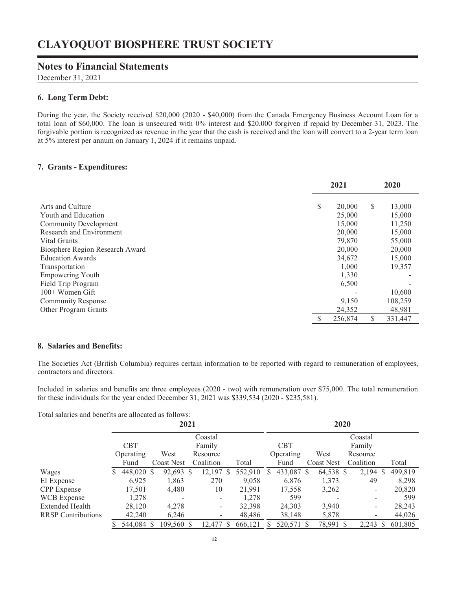## **Notes to Financial Statements**

December 31, 2021

#### **6. Long Term Debt:**

During the year, the Society received \$20,000 (2020 - \$40,000) from the Canada Emergency Business Account Loan for a total loan of \$60,000. The loan is unsecured with 0% interest and \$20,000 forgiven if repaid by December 31, 2023. The forgivable portion is recognized as revenue in the year that the cash is received and the loan will convert to a 2-year term loan at 5% interest per annum on January 1, 2024 if it remains unpaid.

#### **7. Grants - Expenditures:**

|                                 | 2021         | 2020 |         |  |
|---------------------------------|--------------|------|---------|--|
|                                 |              |      |         |  |
| Arts and Culture                | \$<br>20,000 | \$   | 13,000  |  |
| Youth and Education             | 25,000       |      | 15,000  |  |
| <b>Community Development</b>    | 15,000       |      | 11,250  |  |
| Research and Environment        | 20,000       |      | 15,000  |  |
| Vital Grants                    | 79,870       |      | 55,000  |  |
| Biosphere Region Research Award | 20,000       |      | 20,000  |  |
| <b>Education Awards</b>         | 34,672       |      | 15,000  |  |
| Transportation                  | 1,000        |      | 19,357  |  |
| <b>Empowering Youth</b>         | 1,330        |      |         |  |
| Field Trip Program              | 6,500        |      |         |  |
| $100+$ Women Gift               |              |      | 10,600  |  |
| <b>Community Response</b>       | 9,150        |      | 108,259 |  |
| <b>Other Program Grants</b>     | 24,352       |      | 48,981  |  |
|                                 | 256,874      | S    | 331,447 |  |

#### **8. Salaries and Benefits:**

The Societies Act (British Columbia) requires certain information to be reported with regard to remuneration of employees, contractors and directors.

Included in salaries and benefits are three employees (2020 - two) with remuneration over \$75,000. The total remuneration for these individuals for the year ended December 31, 2021 was \$339,534 (2020 - \$235,581).

Total salaries and benefits are allocated as follows:

|                           | 2021       |            |  |                   |  |           | 2020       |         |        |            |  |                   |  |            |  |         |
|---------------------------|------------|------------|--|-------------------|--|-----------|------------|---------|--------|------------|--|-------------------|--|------------|--|---------|
|                           |            | Coastal    |  |                   |  |           | Coastal    |         |        |            |  |                   |  |            |  |         |
|                           | <b>CBT</b> |            |  | Family            |  |           | <b>CBT</b> |         | Family |            |  |                   |  |            |  |         |
|                           |            | Operating  |  | West              |  | Resource  |            |         |        | Operating  |  | West              |  | Resource   |  |         |
|                           |            | Fund       |  | <b>Coast Nest</b> |  | Coalition |            | Total   |        | Fund       |  | <b>Coast Nest</b> |  | Coalition  |  | Total   |
| Wages                     | S          | 448,020 \$ |  | 92,693 \$         |  | 12,197    | - S        | 552,910 | S      | 433,087 \$ |  | 64,538 \$         |  | $2,194$ \$ |  | 499,819 |
| EI Expense                |            | 6,925      |  | 1,863             |  | 270       |            | 9,058   |        | 6,876      |  | 1,373             |  | 49         |  | 8,298   |
| CPP Expense               |            | 17,501     |  | 4,480             |  | 10        |            | 21,991  |        | 17,558     |  | 3,262             |  | -          |  | 20,820  |
| <b>WCB</b> Expense        |            | 1,278      |  |                   |  |           |            | 1.278   |        | 599        |  |                   |  |            |  | 599     |
| <b>Extended Health</b>    |            | 28,120     |  | 4,278             |  | Ξ.        |            | 32,398  |        | 24,303     |  | 3,940             |  | -          |  | 28,243  |
| <b>RRSP</b> Contributions |            | 42,240     |  | 6,246             |  |           |            | 48,486  |        | 38,148     |  | 5,878             |  |            |  | 44,026  |
|                           |            | 544,084 \$ |  | 109,560 \$        |  | 12,477 \$ |            | 666,121 |        | 520,571 \$ |  | 78,991 \$         |  | 2,243 \$   |  | 601,805 |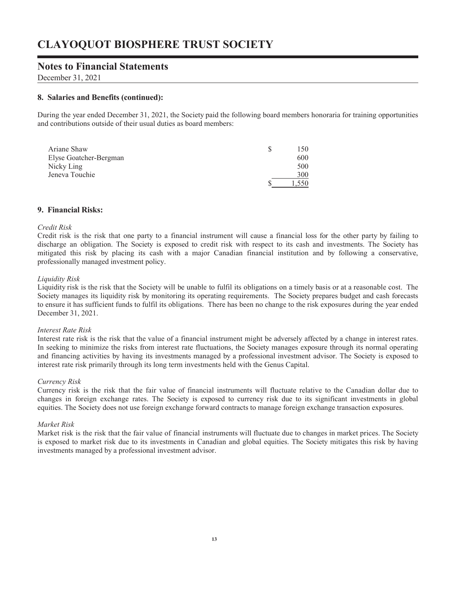### **Notes to Financial Statements**

December 31, 2021

#### **8. Salaries and Benefits (continued):**

During the year ended December 31, 2021, the Society paid the following board members honoraria for training opportunities and contributions outside of their usual duties as board members:

| Ariane Shaw            | 150. |
|------------------------|------|
| Elyse Goatcher-Bergman | 600  |
| Nicky Ling             | 500  |
| Jeneva Touchie         | 300  |
|                        | 550. |

#### **9. Financial Risks:**

#### *Credit Risk*

Credit risk is the risk that one party to a financial instrument will cause a financial loss for the other party by failing to discharge an obligation. The Society is exposed to credit risk with respect to its cash and investments. The Society has mitigated this risk by placing its cash with a major Canadian financial institution and by following a conservative, professionally managed investment policy.

#### *Liquidity Risk*

Liquidity risk is the risk that the Society will be unable to fulfil its obligations on a timely basis or at a reasonable cost. The Society manages its liquidity risk by monitoring its operating requirements. The Society prepares budget and cash forecasts to ensure it has sufficient funds to fulfil its obligations. There has been no change to the risk exposures during the year ended December 31, 2021.

#### *Interest Rate Risk*

Interest rate risk is the risk that the value of a financial instrument might be adversely affected by a change in interest rates. In seeking to minimize the risks from interest rate fluctuations, the Society manages exposure through its normal operating and financing activities by having its investments managed by a professional investment advisor. The Society is exposed to interest rate risk primarily through its long term investments held with the Genus Capital.

#### *Currency Risk*

Currency risk is the risk that the fair value of financial instruments will fluctuate relative to the Canadian dollar due to changes in foreign exchange rates. The Society is exposed to currency risk due to its significant investments in global equities. The Society does not use foreign exchange forward contracts to manage foreign exchange transaction exposures.

#### *Market Risk*

Market risk is the risk that the fair value of financial instruments will fluctuate due to changes in market prices. The Society is exposed to market risk due to its investments in Canadian and global equities. The Society mitigates this risk by having investments managed by a professional investment advisor.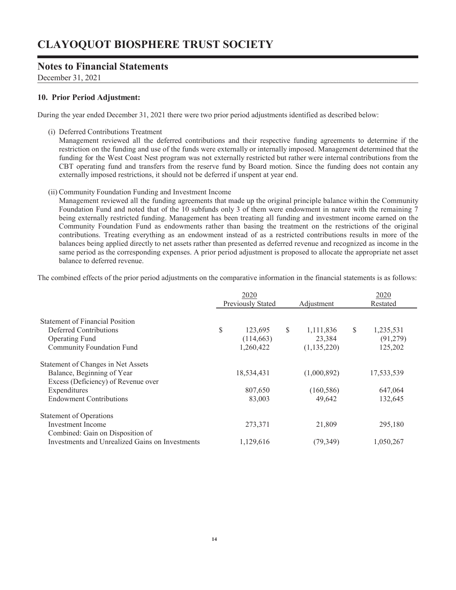### **Notes to Financial Statements**

December 31, 2021

#### **10. Prior Period Adjustment:**

During the year ended December 31, 2021 there were two prior period adjustments identified as described below:

(i) Deferred Contributions Treatment

Management reviewed all the deferred contributions and their respective funding agreements to determine if the restriction on the funding and use of the funds were externally or internally imposed. Management determined that the funding for the West Coast Nest program was not externally restricted but rather were internal contributions from the CBT operating fund and transfers from the reserve fund by Board motion. Since the funding does not contain any externally imposed restrictions, it should not be deferred if unspent at year end.

(ii) Community Foundation Funding and Investment Income

Management reviewed all the funding agreements that made up the original principle balance within the Community Foundation Fund and noted that of the 10 subfunds only 3 of them were endowment in nature with the remaining 7 being externally restricted funding. Management has been treating all funding and investment income earned on the Community Foundation Fund as endowments rather than basing the treatment on the restrictions of the original contributions. Treating everything as an endowment instead of as a restricted contributions results in more of the balances being applied directly to net assets rather than presented as deferred revenue and recognized as income in the same period as the corresponding expenses. A prior period adjustment is proposed to allocate the appropriate net asset balance to deferred revenue.

The combined effects of the prior period adjustments on the comparative information in the financial statements is as follows:

|                                                 | 2020<br>Previously Stated |              | Adjustment    | 2020<br>Restated |  |
|-------------------------------------------------|---------------------------|--------------|---------------|------------------|--|
|                                                 |                           |              |               |                  |  |
| <b>Statement of Financial Position</b>          |                           |              |               |                  |  |
| Deferred Contributions                          | \$<br>123,695             | <sup>S</sup> | 1,111,836     | \$<br>1,235,531  |  |
| <b>Operating Fund</b>                           | (114, 663)                |              | 23,384        | (91, 279)        |  |
| Community Foundation Fund                       | 1,260,422                 |              | (1, 135, 220) | 125,202          |  |
| Statement of Changes in Net Assets              |                           |              |               |                  |  |
| Balance, Beginning of Year                      | 18,534,431                |              | (1,000,892)   | 17,533,539       |  |
| Excess (Deficiency) of Revenue over             |                           |              |               |                  |  |
| Expenditures                                    | 807,650                   |              | (160, 586)    | 647,064          |  |
| <b>Endowment Contributions</b>                  | 83,003                    |              | 49,642        | 132,645          |  |
| <b>Statement of Operations</b>                  |                           |              |               |                  |  |
| Investment Income                               | 273,371                   |              | 21,809        | 295,180          |  |
| Combined: Gain on Disposition of                |                           |              |               |                  |  |
| Investments and Unrealized Gains on Investments | 1,129,616                 |              | (79, 349)     | 1,050,267        |  |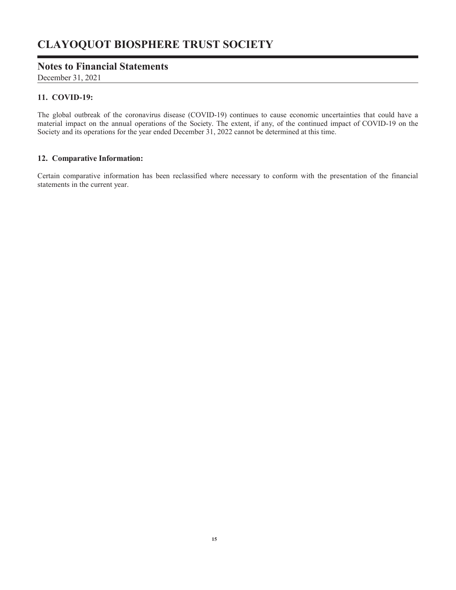## **Notes to Financial Statements**

December 31, 2021

#### **11. COVID-19:**

The global outbreak of the coronavirus disease (COVID-19) continues to cause economic uncertainties that could have a material impact on the annual operations of the Society. The extent, if any, of the continued impact of COVID-19 on the Society and its operations for the year ended December 31, 2022 cannot be determined at this time.

#### **12. Comparative Information:**

Certain comparative information has been reclassified where necessary to conform with the presentation of the financial statements in the current year.